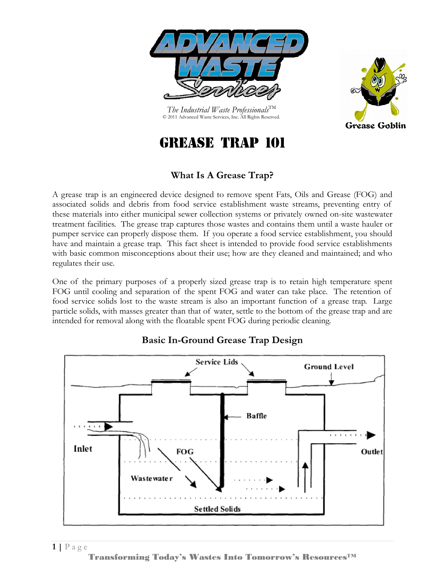

*The Industrial Waste Professionals*TM © 2011 Advanced Waste Services, Inc. All Rights Reserved.



# Grease Trap 101

# **What Is A Grease Trap?**

A grease trap is an engineered device designed to remove spent Fats, Oils and Grease (FOG) and associated solids and debris from food service establishment waste streams, preventing entry of these materials into either municipal sewer collection systems or privately owned on-site wastewater treatment facilities. The grease trap captures those wastes and contains them until a waste hauler or pumper service can properly dispose them. If you operate a food service establishment, you should have and maintain a grease trap. This fact sheet is intended to provide food service establishments with basic common misconceptions about their use; how are they cleaned and maintained; and who regulates their use.

One of the primary purposes of a properly sized grease trap is to retain high temperature spent FOG until cooling and separation of the spent FOG and water can take place. The retention of food service solids lost to the waste stream is also an important function of a grease trap. Large particle solids, with masses greater than that of water, settle to the bottom of the grease trap and are intended for removal along with the floatable spent FOG during periodic cleaning.



## **Basic In-Ground Grease Trap Design**

Transforming Today's Wastes Into Tomorrow's Resources™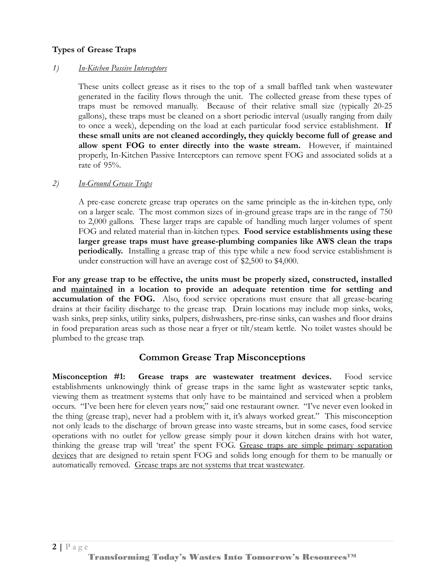#### **Types of Grease Traps**

#### *1) In-Kitchen Passive Interceptors*

These units collect grease as it rises to the top of a small baffled tank when wastewater generated in the facility flows through the unit. The collected grease from these types of traps must be removed manually. Because of their relative small size (typically 20-25 gallons), these traps must be cleaned on a short periodic interval (usually ranging from daily to once a week), depending on the load at each particular food service establishment. **If these small units are not cleaned accordingly, they quickly become full of grease and allow spent FOG to enter directly into the waste stream.** However, if maintained properly, In-Kitchen Passive Interceptors can remove spent FOG and associated solids at a rate of 95%.

#### *2) In-Ground Grease Traps*

A pre-case concrete grease trap operates on the same principle as the in-kitchen type, only on a larger scale. The most common sizes of in-ground grease traps are in the range of 750 to 2,000 gallons. These larger traps are capable of handling much larger volumes of spent FOG and related material than in-kitchen types. **Food service establishments using these larger grease traps must have grease-plumbing companies like AWS clean the traps periodically.** Installing a grease trap of this type while a new food service establishment is under construction will have an average cost of \$2,500 to \$4,000.

**For any grease trap to be effective, the units must be properly sized, constructed, installed and maintained in a location to provide an adequate retention time for settling and accumulation of the FOG.** Also, food service operations must ensure that all grease-bearing drains at their facility discharge to the grease trap. Drain locations may include mop sinks, woks, wash sinks, prep sinks, utility sinks, pulpers, dishwashers, pre-rinse sinks, can washes and floor drains in food preparation areas such as those near a fryer or tilt/steam kettle. No toilet wastes should be plumbed to the grease trap.

### **Common Grease Trap Misconceptions**

**Misconception #1: Grease traps are wastewater treatment devices.** Food service establishments unknowingly think of grease traps in the same light as wastewater septic tanks, viewing them as treatment systems that only have to be maintained and serviced when a problem occurs. "I've been here for eleven years now," said one restaurant owner. "I've never even looked in the thing (grease trap), never had a problem with it, it's always worked great." This misconception not only leads to the discharge of brown grease into waste streams, but in some cases, food service operations with no outlet for yellow grease simply pour it down kitchen drains with hot water, thinking the grease trap will 'treat' the spent FOG. Grease traps are simple primary separation devices that are designed to retain spent FOG and solids long enough for them to be manually or automatically removed. Grease traps are not systems that treat wastewater.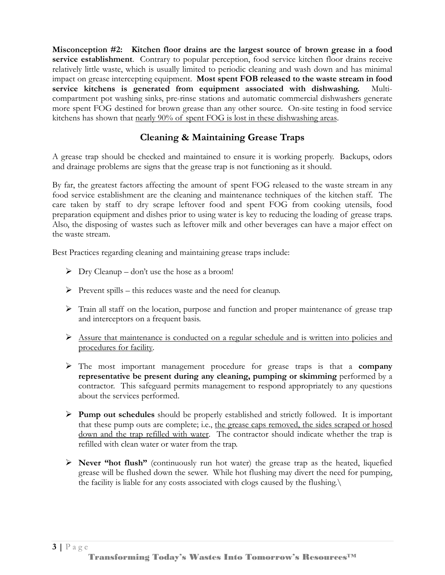**Misconception #2: Kitchen floor drains are the largest source of brown grease in a food service establishment**. Contrary to popular perception, food service kitchen floor drains receive relatively little waste, which is usually limited to periodic cleaning and wash down and has minimal impact on grease intercepting equipment. **Most spent FOB released to the waste stream in food service kitchens is generated from equipment associated with dishwashing.** Multicompartment pot washing sinks, pre-rinse stations and automatic commercial dishwashers generate more spent FOG destined for brown grease than any other source. On-site testing in food service kitchens has shown that nearly 90% of spent FOG is lost in these dishwashing areas.

### **Cleaning & Maintaining Grease Traps**

A grease trap should be checked and maintained to ensure it is working properly. Backups, odors and drainage problems are signs that the grease trap is not functioning as it should.

By far, the greatest factors affecting the amount of spent FOG released to the waste stream in any food service establishment are the cleaning and maintenance techniques of the kitchen staff. The care taken by staff to dry scrape leftover food and spent FOG from cooking utensils, food preparation equipment and dishes prior to using water is key to reducing the loading of grease traps. Also, the disposing of wastes such as leftover milk and other beverages can have a major effect on the waste stream.

Best Practices regarding cleaning and maintaining grease traps include:

- $\triangleright$  Dry Cleanup don't use the hose as a broom!
- $\triangleright$  Prevent spills this reduces waste and the need for cleanup.
- $\triangleright$  Train all staff on the location, purpose and function and proper maintenance of grease trap and interceptors on a frequent basis.
- Assure that maintenance is conducted on a regular schedule and is written into policies and procedures for facility.
- The most important management procedure for grease traps is that a **company representative be present during any cleaning, pumping or skimming** performed by a contractor. This safeguard permits management to respond appropriately to any questions about the services performed.
- **Pump out schedules** should be properly established and strictly followed. It is important that these pump outs are complete; i.e., the grease caps removed, the sides scraped or hosed down and the trap refilled with water. The contractor should indicate whether the trap is refilled with clean water or water from the trap.
- **Never "hot flush"** (continuously run hot water) the grease trap as the heated, liquefied grease will be flushed down the sewer. While hot flushing may divert the need for pumping, the facility is liable for any costs associated with clogs caused by the flushing.\